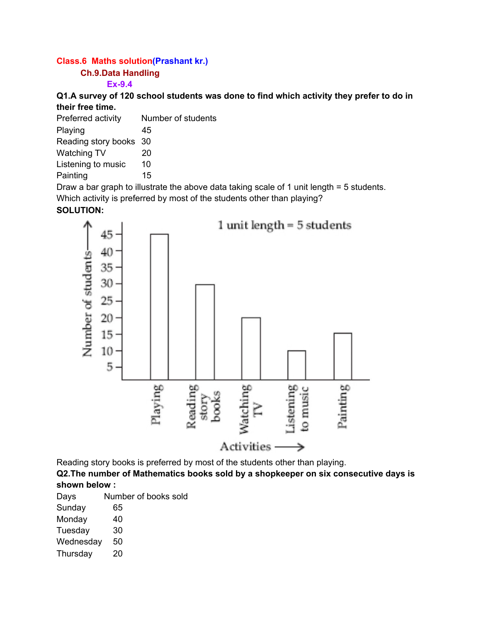# **Class.6 Maths solution(Prashant kr.)**

### **Ch.9.Data Handling**

### **Ex-9.4**

**Q1.A survey of 120 school students was done to find which activity they prefer to do in their free time.**

| Preferred activity     | Number of students |
|------------------------|--------------------|
| Playing                | 45                 |
| Reading story books 30 |                    |
| <b>Watching TV</b>     | 20                 |
| Listening to music     | 10                 |
| Painting               | 15                 |
|                        |                    |

Draw a bar graph to illustrate the above data taking scale of 1 unit length = 5 students. Which activity is preferred by most of the students other than playing?

## **SOLUTION:**



Reading story books is preferred by most of the students other than playing.

**Q2.The number of Mathematics books sold by a shopkeeper on six consecutive days is shown below :**

| Days | Number of books sold |
|------|----------------------|
|------|----------------------|

| Sunday<br>65 |  |
|--------------|--|
|--------------|--|

- Monday 40
- Tuesday 30
- Wednesday 50
- Thursday 20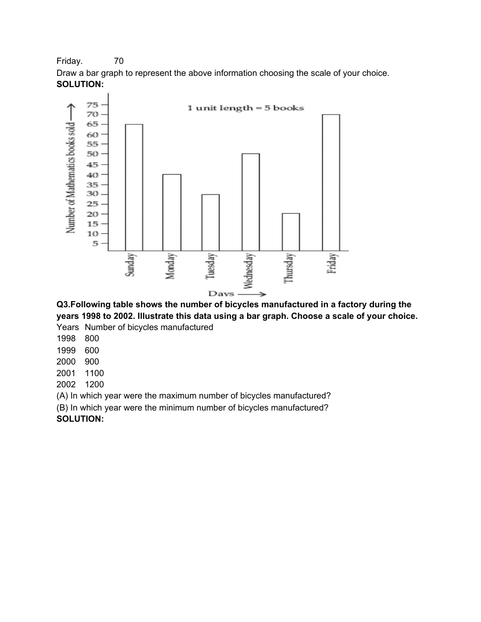Friday. 70

Draw a bar graph to represent the above information choosing the scale of your choice. **SOLUTION:**



**Q3.Following table shows the number of bicycles manufactured in a factory during the years 1998 to 2002. Illustrate this data using a bar graph. Choose a scale of your choice.**

Years Number of bicycles manufactured

1998 800

1999 600

2000 900

2001 1100

2002 1200

(A) In which year were the maximum number of bicycles manufactured?

(B) In which year were the minimum number of bicycles manufactured?

**SOLUTION:**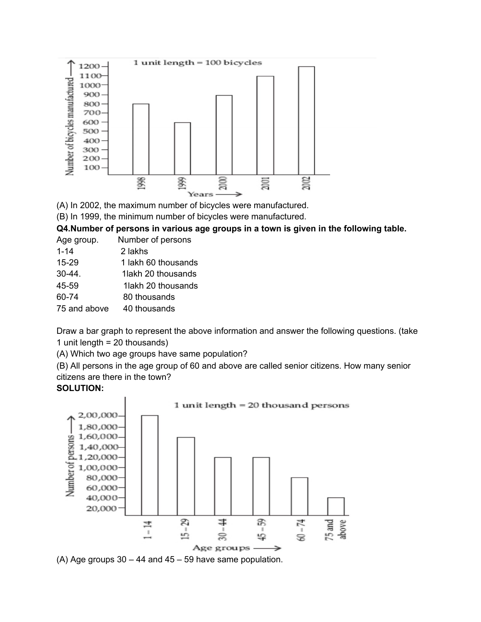

(A) In 2002, the maximum number of bicycles were manufactured.

(B) In 1999, the minimum number of bicycles were manufactured.

### **Q4.Number of persons in various age groups in a town is given in the following table.**

Age group. Number of persons

| 2 lakhs |
|---------|
|         |

- 15-29 1 lakh 60 thousands
- 30-44. 1lakh 20 thousands
- 45-59 1lakh 20 thousands
- 60-74 80 thousands
- 75 and above 40 thousands

Draw a bar graph to represent the above information and answer the following questions. (take 1 unit length = 20 thousands)

(A) Which two age groups have same population?

(B) All persons in the age group of 60 and above are called senior citizens. How many senior citizens are there in the town?

## **SOLUTION:**



(A) Age groups  $30 - 44$  and  $45 - 59$  have same population.